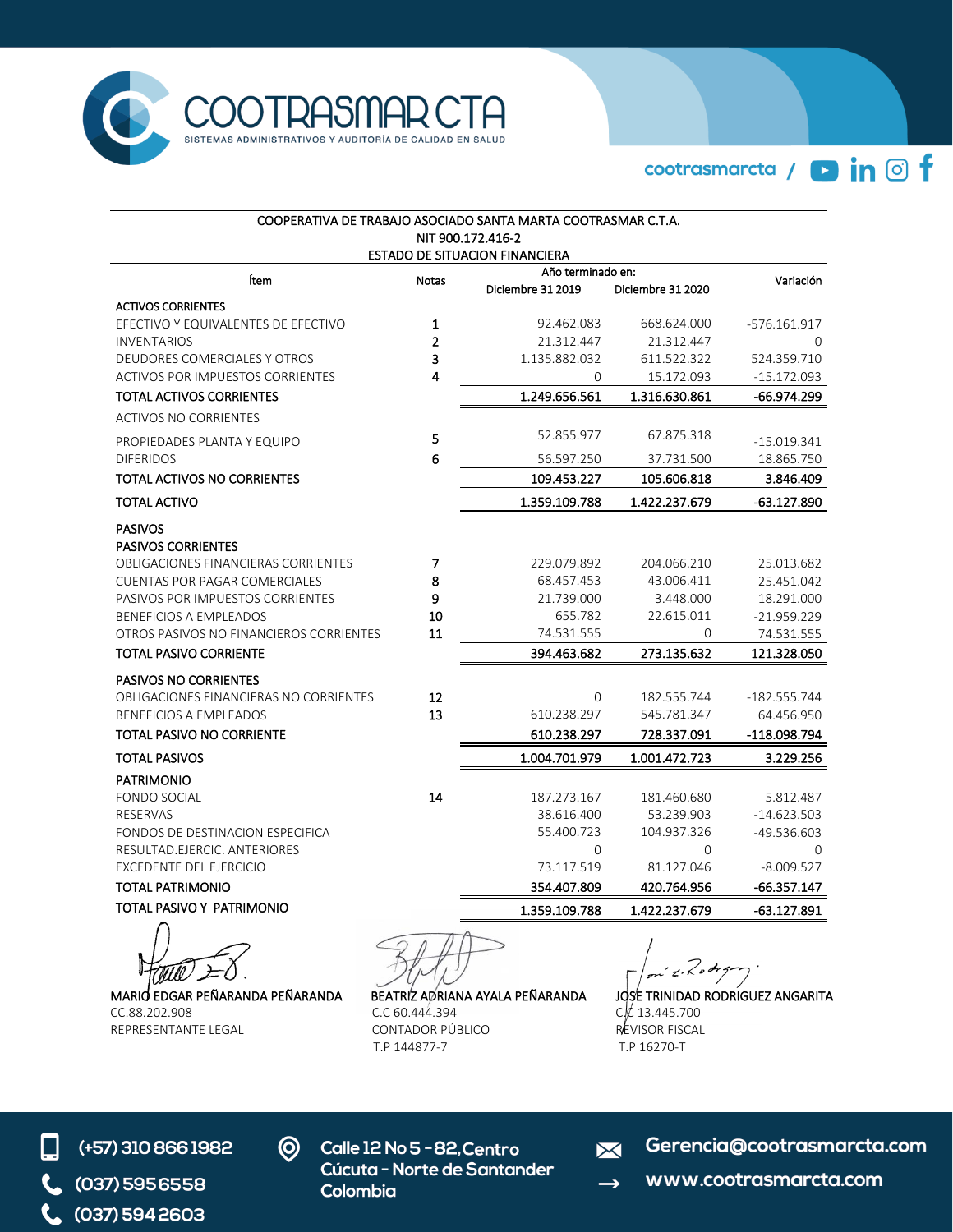

cootrasmarcta / **D** in © f

| COOPERATIVA DE TRABAJO ASOCIADO SANTA MARTA COOTRASMAR C.T.A.<br>NIT 900.172.416-2<br><b>ESTADO DE SITUACION FINANCIERA</b>                                                                                                                                                 |                         |                                                                                 |                                                                          |                                                                                    |  |  |
|-----------------------------------------------------------------------------------------------------------------------------------------------------------------------------------------------------------------------------------------------------------------------------|-------------------------|---------------------------------------------------------------------------------|--------------------------------------------------------------------------|------------------------------------------------------------------------------------|--|--|
| Ítem                                                                                                                                                                                                                                                                        | Año terminado en:       | Variación                                                                       |                                                                          |                                                                                    |  |  |
|                                                                                                                                                                                                                                                                             | Notas                   | Diciembre 31 2019                                                               | Diciembre 31 2020                                                        |                                                                                    |  |  |
| <b>ACTIVOS CORRIENTES</b>                                                                                                                                                                                                                                                   |                         |                                                                                 |                                                                          |                                                                                    |  |  |
| EFECTIVO Y EQUIVALENTES DE EFECTIVO                                                                                                                                                                                                                                         | 1                       | 92.462.083                                                                      | 668.624.000                                                              | -576.161.917                                                                       |  |  |
| <b>INVENTARIOS</b>                                                                                                                                                                                                                                                          | $\overline{2}$          | 21.312.447                                                                      | 21.312.447                                                               | $\Omega$                                                                           |  |  |
| DEUDORES COMERCIALES Y OTROS<br><b>ACTIVOS POR IMPUESTOS CORRIENTES</b>                                                                                                                                                                                                     | 3<br>4                  | 1.135.882.032<br>0                                                              | 611.522.322<br>15.172.093                                                | 524.359.710<br>-15.172.093                                                         |  |  |
| TOTAL ACTIVOS CORRIENTES                                                                                                                                                                                                                                                    |                         | 1.249.656.561                                                                   | 1.316.630.861                                                            | -66.974.299                                                                        |  |  |
|                                                                                                                                                                                                                                                                             |                         |                                                                                 |                                                                          |                                                                                    |  |  |
| <b>ACTIVOS NO CORRIENTES</b>                                                                                                                                                                                                                                                |                         |                                                                                 |                                                                          |                                                                                    |  |  |
| PROPIEDADES PLANTA Y EQUIPO                                                                                                                                                                                                                                                 | 5                       | 52.855.977                                                                      | 67.875.318                                                               | -15.019.341                                                                        |  |  |
| <b>DIFERIDOS</b>                                                                                                                                                                                                                                                            | 6                       | 56.597.250                                                                      | 37.731.500                                                               | 18.865.750                                                                         |  |  |
| TOTAL ACTIVOS NO CORRIENTES                                                                                                                                                                                                                                                 |                         | 109.453.227                                                                     | 105.606.818                                                              | 3.846.409                                                                          |  |  |
| <b>TOTAL ACTIVO</b>                                                                                                                                                                                                                                                         |                         | 1.359.109.788                                                                   | 1.422.237.679                                                            | $-63.127.890$                                                                      |  |  |
| <b>PASIVOS</b><br><b>PASIVOS CORRIENTES</b><br>OBLIGACIONES FINANCIERAS CORRIENTES<br><b>CUENTAS POR PAGAR COMERCIALES</b><br>PASIVOS POR IMPUESTOS CORRIENTES<br><b>BENEFICIOS A EMPLEADOS</b><br>OTROS PASIVOS NO FINANCIEROS CORRIENTES<br><b>TOTAL PASIVO CORRIENTE</b> | 7<br>8<br>9<br>10<br>11 | 229.079.892<br>68.457.453<br>21.739.000<br>655.782<br>74.531.555<br>394.463.682 | 204.066.210<br>43.006.411<br>3.448.000<br>22.615.011<br>0<br>273.135.632 | 25.013.682<br>25.451.042<br>18.291.000<br>-21.959.229<br>74.531.555<br>121.328.050 |  |  |
| <b>PASIVOS NO CORRIENTES</b>                                                                                                                                                                                                                                                | 12                      |                                                                                 |                                                                          |                                                                                    |  |  |
| OBLIGACIONES FINANCIERAS NO CORRIENTES<br><b>BENEFICIOS A EMPLEADOS</b>                                                                                                                                                                                                     | 13                      | $\Omega$<br>610.238.297                                                         | 182.555.744<br>545.781.347                                               | $-182.555.744$<br>64.456.950                                                       |  |  |
| TOTAL PASIVO NO CORRIENTE                                                                                                                                                                                                                                                   |                         | 610.238.297                                                                     | 728.337.091                                                              | -118.098.794                                                                       |  |  |
| <b>TOTAL PASIVOS</b>                                                                                                                                                                                                                                                        |                         | 1.004.701.979                                                                   | 1.001.472.723                                                            | 3.229.256                                                                          |  |  |
| <b>PATRIMONIO</b>                                                                                                                                                                                                                                                           |                         |                                                                                 |                                                                          |                                                                                    |  |  |
| <b>FONDO SOCIAL</b>                                                                                                                                                                                                                                                         | 14                      | 187.273.167                                                                     | 181.460.680                                                              | 5.812.487                                                                          |  |  |
| <b>RESERVAS</b>                                                                                                                                                                                                                                                             |                         | 38.616.400                                                                      | 53.239.903                                                               | $-14.623.503$                                                                      |  |  |
| FONDOS DE DESTINACION ESPECIFICA                                                                                                                                                                                                                                            |                         | 55.400.723                                                                      | 104.937.326                                                              | -49.536.603                                                                        |  |  |
| RESULTAD.EJERCIC. ANTERIORES                                                                                                                                                                                                                                                |                         | $\overline{0}$                                                                  | $\mathbf{0}$                                                             | 0                                                                                  |  |  |
| EXCEDENTE DEL EJERCICIO                                                                                                                                                                                                                                                     |                         | 73.117.519                                                                      | 81.127.046                                                               | $-8.009.527$                                                                       |  |  |
| TOTAL PATRIMONIO                                                                                                                                                                                                                                                            |                         | 354.407.809                                                                     | 420.764.956                                                              | -66.357.147                                                                        |  |  |
| TOTAL PASIVO Y PATRIMONIO                                                                                                                                                                                                                                                   |                         | 1.359.109.788                                                                   | 1.422.237.679                                                            | $-63.127.891$                                                                      |  |  |
|                                                                                                                                                                                                                                                                             |                         |                                                                                 |                                                                          |                                                                                    |  |  |

MARIO EDGAR PEÑARANDA PEÑARANDA BEATRIZ ADRIANA AYALA PEÑARANDA JOSE TRINIDAD RODRIGUEZ ANGARITA<br>CC.88.202.908 C.C.60.444.394 C.C.60.444.394 C.C.68.202.908

REPRESENTANTE LEGAL CONTADOR PÚBLICO REVISOR FISCAL T.P 144877-7

on'e Rodryn

CC 13.445.700<br>REVISOR FISCAL

- (+57) 310 866 1982 (037) 595 6558  $C$  (037) 594 2603
- **Q** Calle 12 No 5 82, Centro Cúcuta - Norte de Santander Colombia

Gerencia@cootrasmarcta.com  $\overline{\mathbf{M}}$ 

www.cootrasmarcta.com  $\rightarrow$